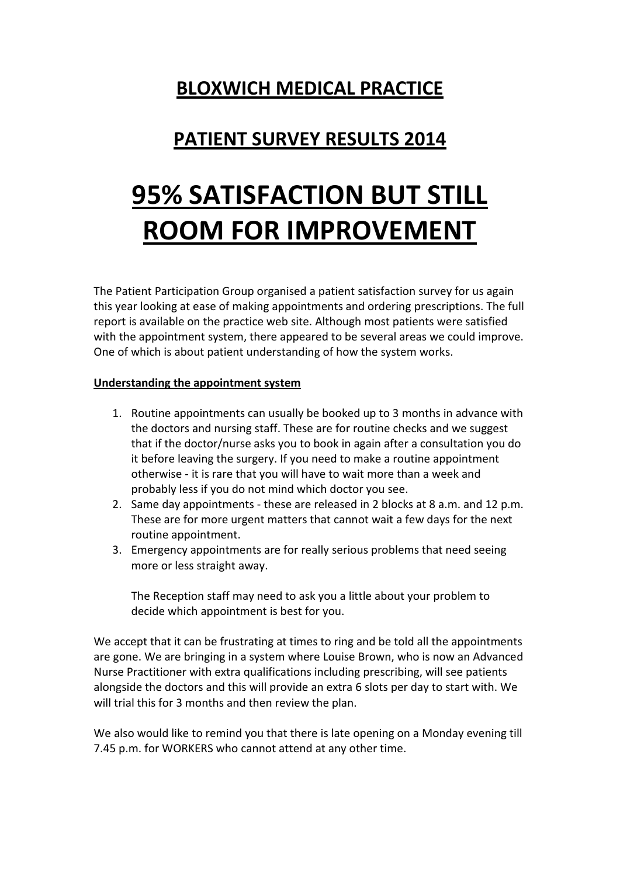## **BLOXWICH MEDICAL PRACTICE**

## **PATIENT SURVEY RESULTS 2014**

# **95% SATISFACTION BUT STILL ROOM FOR IMPROVEMENT**

The Patient Participation Group organised a patient satisfaction survey for us again this year looking at ease of making appointments and ordering prescriptions. The full report is available on the practice web site. Although most patients were satisfied with the appointment system, there appeared to be several areas we could improve. One of which is about patient understanding of how the system works.

#### **Understanding the appointment system**

- 1. Routine appointments can usually be booked up to 3 months in advance with the doctors and nursing staff. These are for routine checks and we suggest that if the doctor/nurse asks you to book in again after a consultation you do it before leaving the surgery. If you need to make a routine appointment otherwise - it is rare that you will have to wait more than a week and probably less if you do not mind which doctor you see.
- 2. Same day appointments these are released in 2 blocks at 8 a.m. and 12 p.m. These are for more urgent matters that cannot wait a few days for the next routine appointment.
- 3. Emergency appointments are for really serious problems that need seeing more or less straight away.

The Reception staff may need to ask you a little about your problem to decide which appointment is best for you.

We accept that it can be frustrating at times to ring and be told all the appointments are gone. We are bringing in a system where Louise Brown, who is now an Advanced Nurse Practitioner with extra qualifications including prescribing, will see patients alongside the doctors and this will provide an extra 6 slots per day to start with. We will trial this for 3 months and then review the plan.

We also would like to remind you that there is late opening on a Monday evening till 7.45 p.m. for WORKERS who cannot attend at any other time.